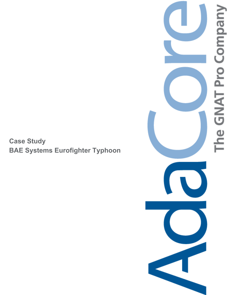**Case Study BAE Systems Eurofighter Typhoon** 

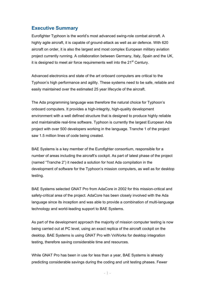### **Executive Summary**

Eurofighter Typhoon is the world's most advanced swing-role combat aircraft. A highly agile aircraft, it is capable of ground-attack as well as air defence. With 620 aircraft on order, it is also the largest and most complex European military aviation project currently running. A collaboration between Germany, Italy, Spain and the UK, it is designed to meet air force requirements well into the  $21<sup>st</sup>$  Century.

Advanced electronics and state of the art onboard computers are critical to the Typhoon's high performance and agility. These systems need to be safe, reliable and easily maintained over the estimated 25 year lifecycle of the aircraft.

The Ada programming language was therefore the natural choice for Typhoon's onboard computers. It provides a high-integrity, high-quality development environment with a well defined structure that is designed to produce highly reliable and maintainable real-time software. Typhoon is currently the largest European Ada project with over 500 developers working in the language. Tranche 1 of the project saw 1.5 million lines of code being created.

BAE Systems is a key member of the Eurofighter consortium, responsible for a number of areas including the aircraft's cockpit. As part of latest phase of the project (named "Tranche 2") it needed a solution for host Ada compilation in the development of software for the Typhoon's mission computers, as well as for desktop testing.

BAE Systems selected GNAT Pro from AdaCore in 2002 for this mission-critical and safety-critical area of the project. AdaCore has been closely involved with the Ada language since its inception and was able to provide a combination of multi-language technology and world-leading support to BAE Systems.

As part of the development approach the majority of mission computer testing is now being carried out at PC level, using an exact replica of the aircraft cockpit on the desktop. BAE Systems is using GNAT Pro with VxWorks for desktop integration testing, therefore saving considerable time and resources.

While GNAT Pro has been in use for less than a year, BAE Systems is already predicting considerable savings during the coding and unit testing phases. Fewer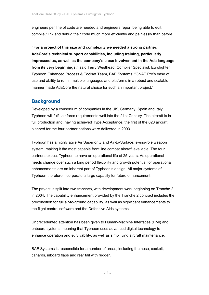engineers per line of code are needed and engineers report being able to edit, compile / link and debug their code much more efficiently and painlessly than before.

**"For a project of this size and complexity we needed a strong partner. AdaCore's technical support capabilities, including training, particularly impressed us, as well as the company's close involvement in the Ada language from its very beginnings,"** said Terry Westhead, Compiler Specialist, Eurofighter Typhoon Enhanced Process & Toolset Team, BAE Systems. "GNAT Pro's ease of use and ability to run in multiple languages and platforms in a robust and scalable manner made AdaCore the natural choice for such an important project."

## **Background**

Developed by a consortium of companies in the UK, Germany, Spain and Italy, Typhoon will fulfil air force requirements well into the 21st Century. The aircraft is in full production and, having achieved Type Acceptance, the first of the 620 aircraft planned for the four partner nations were delivered in 2003.

Typhoon has a highly agile Air Superiority and Air-to-Surface, swing-role weapon system, making it the most capable front line combat aircraft available. The four partners expect Typhoon to have an operational life of 25 years. As operational needs change over such a long period flexibility and growth potential for operational enhancements are an inherent part of Typhoon's design. All major systems of Typhoon therefore incorporate a large capacity for future enhancement.

The project is split into two tranches, with development work beginning on Tranche 2 in 2004. The capability enhancement provided by the Tranche 2 contract includes the precondition for full air-to-ground capability, as well as significant enhancements to the flight control software and the Defensive Aids systems.

Unprecedented attention has been given to Human-Machine Interfaces (HMI) and onboard systems meaning that Typhoon uses advanced digital technology to enhance operation and survivability, as well as simplifying aircraft maintenance.

BAE Systems is responsible for a number of areas, including the nose, cockpit, canards, inboard flaps and rear tail with rudder.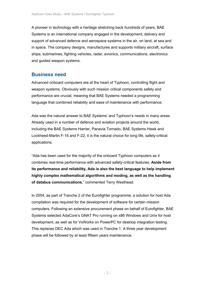A pioneer in technology with a heritage stretching back hundreds of years, BAE Systems is an international company engaged in the development, delivery and support of advanced defence and aerospace systems in the air, on land, at sea and in space. The company designs, manufactures and supports military aircraft, surface ships, submarines, fighting vehicles, radar, avionics, communications, electronics and guided weapon systems.

# **Business need**

Advanced onboard computers are at the heart of Typhoon, controlling flight and weapon systems. Obviously with such mission critical components safety and performance are crucial, meaning that BAE Systems needed a programming language that combined reliability and ease of maintenance with performance.

Ada was the natural answer to BAE Systems' and Typhoon's needs in many areas. Already used in a number of defence and aviation projects around the world, including the BAE Systems Harrier, Panavia Tornado, BAE Systems Hawk and Lockheed-Martin F-16 and F-22, it is the natural choice for long life, safety-critical applications.

"Ada has been used for the majority of the onboard Typhoon computers as it combines real-time performance with advanced safety-critical features. **Aside from its performance and reliability, Ada is also the best language to help implement highly complex mathematical algorithms and moding, as well as the handling of databus communications**," commented Terry Westhead.

In 2004, as part of Tranche 2 of the Eurofighter programme, a solution for host Ada compilation was required for the development of software for certain mission computers. Following an extensive procurement phase on behalf of Eurofighter, BAE Systems selected AdaCore's GNAT Pro running on x86 Windows and Unix for host development, as well as for VxWorks on PowerPC for desktop integration testing. This replaces DEC Ada which was used in Tranche 1. A three year development phase will be followed by at least fifteen years maintenance.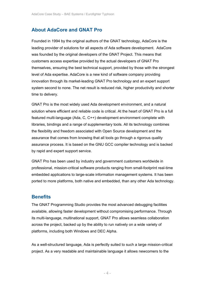## **About AdaCore and GNAT Pro**

Founded in 1994 by the original authors of the GNAT technology, AdaCore is the leading provider of solutions for all aspects of Ada software development. AdaCore was founded by the original developers of the GNAT Project. This means that customers access expertise provided by the actual developers of GNAT Pro themselves, ensuring the best technical support, provided by those with the strongest level of Ada expertise. AdaCore is a new kind of software company providing innovation through its market-leading GNAT Pro technology and an expert support system second to none. The net result is reduced risk, higher productivity and shorter time to delivery.

GNAT Pro is the most widely used Ada development environment, and a natural solution where efficient and reliable code is critical. At the heart of GNAT Pro is a full featured multi-language (Ada, C, C++) development environment complete with libraries, bindings and a range of supplementary tools. All its technology combines the flexibility and freedom associated with Open Source development and the assurance that comes from knowing that all tools go through a rigorous quality assurance process. It is based on the GNU GCC compiler technology and is backed by rapid and expert support service.

GNAT Pro has been used by industry and government customers worldwide in professional, mission-critical software products ranging from small-footprint real-time embedded applications to large-scale information management systems. It has been ported to more platforms, both native and embedded, than any other Ada technology.

### **Benefits**

The GNAT Programming Studio provides the most advanced debugging facilities available, allowing faster development without compromising performance. Through its multi-language, multinational support, GNAT Pro allows seamless collaboration across the project, backed up by the ability to run natively on a wide variety of platforms, including both Windows and DEC Alpha.

As a well-structured language, Ada is perfectly suited to such a large mission-critical project. As a very readable and maintainable language it allows newcomers to the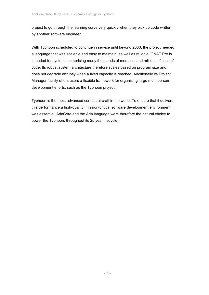project to go through the learning curve very quickly when they pick up code written by another software engineer.

With Typhoon scheduled to continue in service until beyond 2030, the project needed a language that was scalable and easy to maintain, as well as reliable. GNAT Pro is intended for systems comprising many thousands of modules, and millions of lines of code. Its robust system architecture therefore scales based on program size and does not degrade abruptly when a fixed capacity is reached. Additionally its Project Manager facility offers users a flexible framework for organising large multi-person development efforts, such as the Typhoon project.

Typhoon is the most advanced combat aircraft in the world. To ensure that it delivers this performance a high-quality, mission-critical software development environment was essential. AdaCore and the Ada language were therefore the natural choice to power the Typhoon, throughout its 25 year lifecycle.